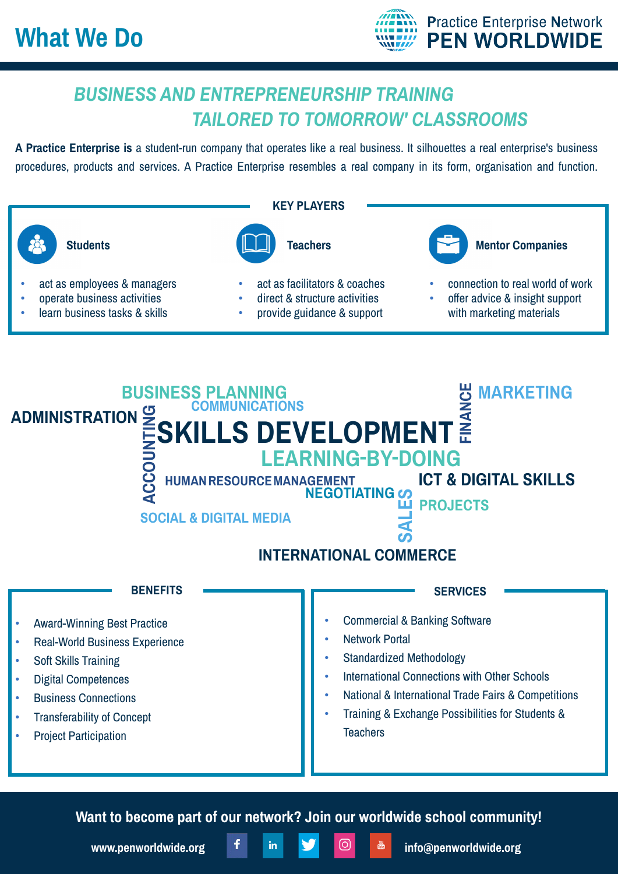

## *BUSINESS AND ENTREPRENEURSHIP TRAINING TAILORED TO TOMORROW' CLASSROOMS*

**A Practice Enterprise is** a student-run company that operates like a real business. It silhouettes a real enterprise's business procedures, products and services. A Practice Enterprise resembles a real company in its form, organisation and function.





**Want to become part of our network? Join our worldwide school community!**